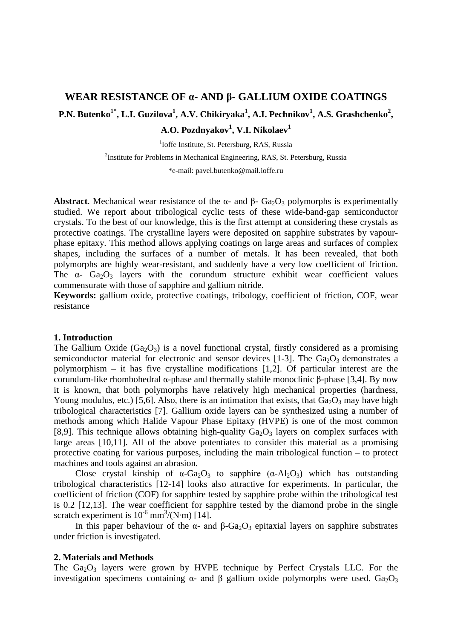# **WEAR RESISTANCE OF α- AND β- GALLIUM OXIDE COATINGS**  P.N. Butenko<sup>1\*</sup>, L.I. Guzilova<sup>1</sup>, A.V. Chikiryaka<sup>1</sup>, A.I. Pechnikov<sup>1</sup>, A.S. Grashchenko<sup>2</sup>,  $\mathbf{A. O.}$  Pozdnyakov<sup>1</sup>, V.I. Nikolaev<sup>1</sup>

<sup>1</sup>Ioffe Institute, St. Petersburg, RAS, Russia

<sup>2</sup>Institute for Problems in Mechanical Engineering, RAS, St. Petersburg, Russia

\*e-mail: pavel.butenko@mail.ioffe.ru

**Abstract**. Mechanical wear resistance of the  $\alpha$ - and  $\beta$ - Ga<sub>2</sub>O<sub>3</sub> polymorphs is experimentally studied. We report about tribological cyclic tests of these wide-band-gap semiconductor crystals. To the best of our knowledge, this is the first attempt at considering these crystals as protective coatings. The crystalline layers were deposited on sapphire substrates by vapourphase epitaxy. This method allows applying coatings on large areas and surfaces of complex shapes, including the surfaces of a number of metals. It has been revealed, that both polymorphs are highly wear-resistant, and suddenly have a very low coefficient of friction. The  $\alpha$ - Ga<sub>2</sub>O<sub>3</sub> layers with the corundum structure exhibit wear coefficient values commensurate with those of sapphire and gallium nitride.

**Keywords:** gallium oxide, protective coatings, tribology, coefficient of friction, COF, wear resistance

### **1. Introduction**

The Gallium Oxide (Ga<sub>2</sub>O<sub>3</sub>) is a novel functional crystal, firstly considered as a promising semiconductor material for electronic and sensor devices [1-3]. The  $Ga<sub>2</sub>O<sub>3</sub>$  demonstrates a polymorphism – it has five crystalline modifications [1,2]. Of particular interest are the corundum-like rhombohedral α-phase and thermally stabile monoclinic β-phase [3,4]. By now it is known, that both polymorphs have relatively high mechanical properties (hardness, Young modulus, etc.) [5,6]. Also, there is an intimation that exists, that  $Ga_2O_3$  may have high tribological characteristics [7]. Gallium oxide layers can be synthesized using a number of methods among which Halide Vapour Phase Epitaxy (HVPE) is one of the most common [8,9]. This technique allows obtaining high-quality  $Ga_2O_3$  layers on complex surfaces with large areas [10,11]. All of the above potentiates to consider this material as a promising protective coating for various purposes, including the main tribological function – to protect machines and tools against an abrasion.

Close crystal kinship of  $\alpha$ -Ga<sub>2</sub>O<sub>3</sub> to sapphire ( $\alpha$ -Al<sub>2</sub>O<sub>3</sub>) which has outstanding tribological characteristics [12-14] looks also attractive for experiments. In particular, the coefficient of friction (COF) for sapphire tested by sapphire probe within the tribological test is 0.2 [12,13]. The wear coefficient for sapphire tested by the diamond probe in the single scratch experiment is  $10^{-6}$  mm<sup>3</sup>/(N⋅m) [14].

In this paper behaviour of the α- and  $β-Ga<sub>2</sub>O<sub>3</sub>$  epitaxial layers on sapphire substrates under friction is investigated.

## **2. Materials and Methods**

The  $Ga<sub>2</sub>O<sub>3</sub>$  layers were grown by HVPE technique by Perfect Crystals LLC. For the investigation specimens containing  $α$ - and β gallium oxide polymorphs were used. Ga<sub>2</sub>O<sub>3</sub>

http://dx.doi.org/10.18149/MPM.4712021\_5 © 2021, Peter the Great St. Petersburg Polytechnic University © 2021, Institute of Problems of Mechanical Engineering RAS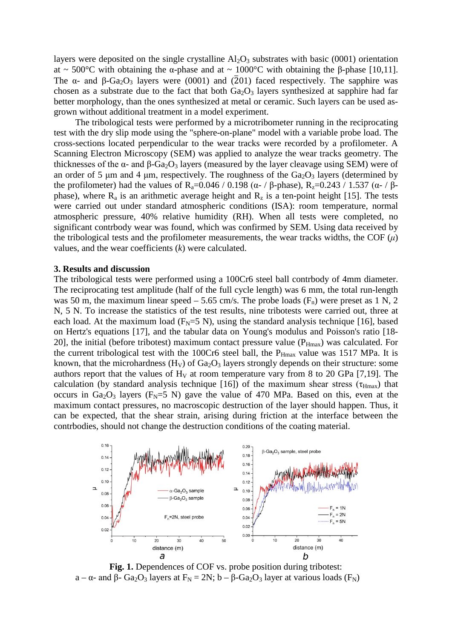layers were deposited on the single crystalline  $Al_2O_3$  substrates with basic (0001) orientation at ~ 500°C with obtaining the α-phase and at ~ 1000°C with obtaining the β-phase [10,11]. The  $\alpha$ - and  $\beta$ -Ga<sub>2</sub>O<sub>3</sub> layers were (0001) and (2<sup>01</sup>) faced respectively. The sapphire was chosen as a substrate due to the fact that both  $Ga_2O_3$  layers synthesized at sapphire had far better morphology, than the ones synthesized at metal or ceramic. Such layers can be used asgrown without additional treatment in a model experiment.

The tribological tests were performed by a microtribometer running in the reciprocating test with the dry slip mode using the "sphere-on-plane" model with a variable probe load. The cross-sections located perpendicular to the wear tracks were recorded by a profilometer. A Scanning Electron Microscopy (SEM) was applied to analyze the wear tracks geometry. The thicknesses of the  $\alpha$ - and  $\beta$ -Ga<sub>2</sub>O<sub>3</sub> layers (measured by the layer cleavage using SEM) were of an order of 5  $\mu$ m and 4  $\mu$ m, respectively. The roughness of the Ga<sub>2</sub>O<sub>3</sub> layers (determined by the profilometer) had the values of R<sub>a</sub>=0.046 / 0.198 (α- / β-phase), R<sub>z</sub>=0.243 / 1.537 (α- / βphase), where  $R_a$  is an arithmetic average height and  $R_z$  is a ten-point height [15]. The tests were carried out under standard atmospheric conditions (ISA): room temperature, normal atmospheric pressure, 40% relative humidity (RH). When all tests were completed, no significant contrbody wear was found, which was confirmed by SEM. Using data received by the tribological tests and the profilometer measurements, the wear tracks widths, the COF  $(\mu)$ values, and the wear coefficients (*k*) were calculated.

#### **3. Results and discussion**

The tribological tests were performed using a 100Cr6 steel ball contrbody of 4mm diameter. The reciprocating test amplitude (half of the full cycle length) was 6 mm, the total run-length was 50 m, the maximum linear speed  $-$  5.65 cm/s. The probe loads ( $F_n$ ) were preset as 1 N, 2 N, 5 N. To increase the statistics of the test results, nine tribotests were carried out, three at each load. At the maximum load ( $F_N = 5$  N), using the standard analysis technique [16], based on Hertz's equations [17], and the tabular data on Young's modulus and Poisson's ratio [18- 20], the initial (before tribotest) maximum contact pressure value  $(P_{Hmax})$  was calculated. For the current tribological test with the 100Cr6 steel ball, the  $P_{Hmax}$  value was 1517 MPa. It is known, that the microhardness  $(H_V)$  of  $Ga_2O_3$  layers strongly depends on their structure: some authors report that the values of  $H_V$  at room temperature vary from 8 to 20 GPa [7,19]. The calculation (by standard analysis technique [16]) of the maximum shear stress ( $\tau_{\text{Hmax}}$ ) that occurs in Ga<sub>2</sub>O<sub>3</sub> layers ( $F_N = 5$  N) gave the value of 470 MPa. Based on this, even at the maximum contact pressures, no macroscopic destruction of the layer should happen. Thus, it can be expected, that the shear strain, arising during friction at the interface between the contrbodies, should not change the destruction conditions of the coating material.



**Fig. 1.** Dependences of COF vs. probe position during tribotest: a – α- and β- Ga<sub>2</sub>O<sub>3</sub> layers at F<sub>N</sub> = 2N; b – β-Ga<sub>2</sub>O<sub>3</sub> layer at various loads (F<sub>N</sub>)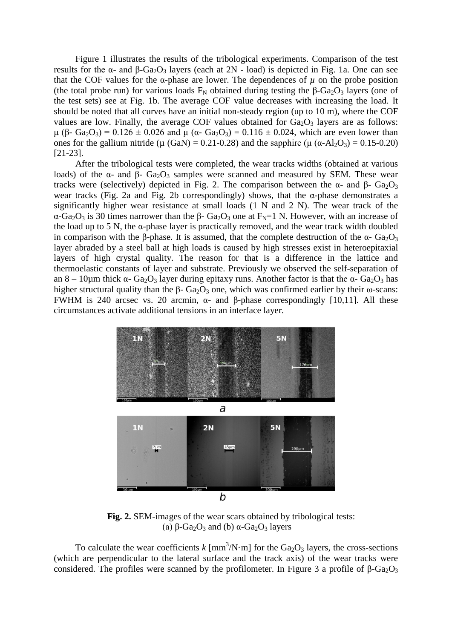Figure 1 illustrates the results of the tribological experiments. Comparison of the test results for the α- and β-Ga<sub>2</sub>O<sub>3</sub> layers (each at  $2N$  - load) is depicted in Fig. 1a. One can see that the COF values for the  $\alpha$ -phase are lower. The dependences of  $\mu$  on the probe position (the total probe run) for various loads  $F_N$  obtained during testing the β-Ga<sub>2</sub>O<sub>3</sub> layers (one of the test sets) see at Fig. 1b. The average COF value decreases with increasing the load. It should be noted that all curves have an initial non-steady region (up to 10 m), where the COF values are low. Finally, the average COF values obtained for  $Ga<sub>2</sub>O<sub>3</sub>$  layers are as follows: μ (β- Ga<sub>2</sub>O<sub>3</sub>) = 0.126 ± 0.026 and μ (α- Ga<sub>2</sub>O<sub>3</sub>) = 0.116 ± 0.024, which are even lower than ones for the gallium nitride ( $\mu$  (GaN) = 0.21-0.28) and the sapphire ( $\mu$  ( $\alpha$ -Al<sub>2</sub>O<sub>3</sub>) = 0.15-0.20) [21-23].

After the tribological tests were completed, the wear tracks widths (obtained at various loads) of the α- and β-  $Ga<sub>2</sub>O<sub>3</sub>$  samples were scanned and measured by SEM. These wear tracks were (selectively) depicted in Fig. 2. The comparison between the α- and β-  $Ga<sub>2</sub>O<sub>3</sub>$ wear tracks (Fig. 2a and Fig. 2b correspondingly) shows, that the  $\alpha$ -phase demonstrates a significantly higher wear resistance at small loads (1 N and 2 N). The wear track of the α-Ga<sub>2</sub>O<sub>3</sub> is 30 times narrower than the β- Ga<sub>2</sub>O<sub>3</sub> one at F<sub>N</sub>=1 N. However, with an increase of the load up to 5 N, the  $\alpha$ -phase layer is practically removed, and the wear track width doubled in comparison with the β-phase. It is assumed, that the complete destruction of the  $\alpha$ - Ga<sub>2</sub>O<sub>3</sub> layer abraded by a steel ball at high loads is caused by high stresses exist in heteroepitaxial layers of high crystal quality. The reason for that is a difference in the lattice and thermoelastic constants of layer and substrate. Previously we observed the self-separation of an 8 – 10µm thick  $\alpha$ - Ga<sub>2</sub>O<sub>3</sub> layer during epitaxy runs. Another factor is that the  $\alpha$ - Ga<sub>2</sub>O<sub>3</sub> has higher structural quality than the β-  $Ga<sub>2</sub>O<sub>3</sub>$  one, which was confirmed earlier by their ω-scans: FWHM is 240 arcsec vs. 20 arcmin, α- and β-phase correspondingly [10,11]. All these circumstances activate additional tensions in an interface layer.



**Fig. 2.** SEM-images of the wear scars obtained by tribological tests: (a)  $\beta$ -Ga<sub>2</sub>O<sub>3</sub> and (b)  $\alpha$ -Ga<sub>2</sub>O<sub>3</sub> layers

To calculate the wear coefficients  $k \text{ [mm}^3/\text{N}\cdot\text{m} \text{]}$  for the Ga<sub>2</sub>O<sub>3</sub> layers, the cross-sections (which are perpendicular to the lateral surface and the track axis) of the wear tracks were considered. The profiles were scanned by the profilometer. In Figure 3 a profile of  $\beta$ -Ga<sub>2</sub>O<sub>3</sub>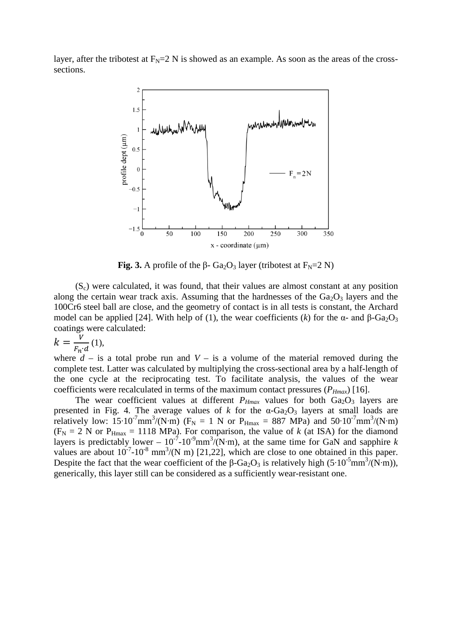layer, after the tribotest at  $F_N = 2$  N is showed as an example. As soon as the areas of the crosssections.



**Fig. 3.** A profile of the  $\beta$ - Ga<sub>2</sub>O<sub>3</sub> layer (tribotest at F<sub>N</sub>=2 N)

 $(S<sub>c</sub>)$  were calculated, it was found, that their values are almost constant at any position along the certain wear track axis. Assuming that the hardnesses of the  $Ga<sub>2</sub>O<sub>3</sub>$  layers and the 100Cr6 steel ball are close, and the geometry of contact is in all tests is constant, the Archard model can be applied [24]. With help of (1), the wear coefficients (*k*) for the  $\alpha$ - and  $\beta$ -Ga<sub>2</sub>O<sub>3</sub> coatings were calculated:

$$
k = \frac{V}{F_n \cdot d} \tag{1}
$$

where  $d -$  is a total probe run and  $V -$  is a volume of the material removed during the complete test. Latter was calculated by multiplying the cross-sectional area by a half-length of the one cycle at the reciprocating test. To facilitate analysis, the values of the wear coefficients were recalculated in terms of the maximum contact pressures  $(P_{Hmax})$  [16].

The wear coefficient values at different  $P_{Hmax}$  values for both  $Ga_2O_3$  layers are presented in Fig. 4. The average values of *k* for the  $\alpha$ -Ga<sub>2</sub>O<sub>3</sub> layers at small loads are relatively low: 15⋅10<sup>-7</sup>mm<sup>3</sup>/(N⋅m) (F<sub>N</sub> = 1 N or P<sub>Hmax</sub> = 887 MPa) and 50⋅10<sup>-7</sup>mm<sup>3</sup>/(N⋅m)  $(F_N = 2 N \text{ or } P_{Hmax} = 1118 \text{ MPa})$ . For comparison, the value of *k* (at ISA) for the diamond layers is predictably lower –  $10^{-7}$ -10<sup>-9</sup>mm<sup>3</sup>/(N⋅m), at the same time for GaN and sapphire *k* values are about  $10^{-7}$ -10<sup>-8</sup> mm<sup>3</sup>/(N m) [21,22], which are close to one obtained in this paper. Despite the fact that the wear coefficient of the  $\beta$ -Ga<sub>2</sub>O<sub>3</sub> is relatively high (5∙10<sup>-5</sup>mm<sup>3</sup>/(N⋅m)), generically, this layer still can be considered as a sufficiently wear-resistant one.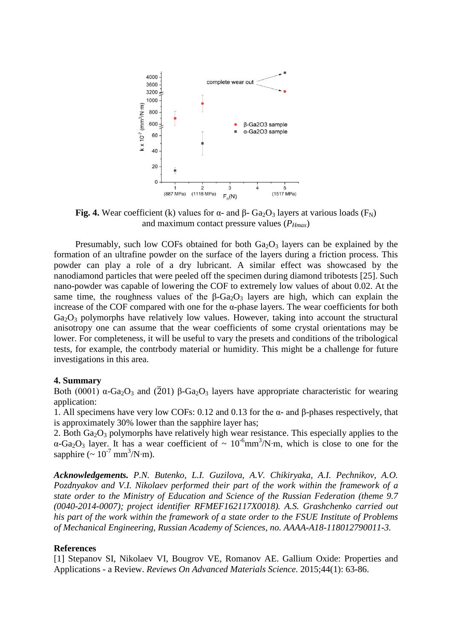

**Fig. 4.** Wear coefficient (k) values for  $\alpha$ - and  $\beta$ - Ga<sub>2</sub>O<sub>3</sub> layers at various loads (F<sub>N</sub>) and maximum contact pressure values (*PHmax*)

Presumably, such low COFs obtained for both  $Ga<sub>2</sub>O<sub>3</sub>$  layers can be explained by the formation of an ultrafine powder on the surface of the layers during a friction process. This powder can play a role of a dry lubricant. A similar effect was showcased by the nanodiamond particles that were peeled off the specimen during diamond tribotests [25]. Such nano-powder was capable of lowering the COF to extremely low values of about 0.02. At the same time, the roughness values of the  $\beta$ -Ga<sub>2</sub>O<sub>3</sub> layers are high, which can explain the increase of the COF compared with one for the  $\alpha$ -phase layers. The wear coefficients for both  $Ga<sub>2</sub>O<sub>3</sub>$  polymorphs have relatively low values. However, taking into account the structural anisotropy one can assume that the wear coefficients of some crystal orientations may be lower. For completeness, it will be useful to vary the presets and conditions of the tribological tests, for example, the contrbody material or humidity. This might be a challenge for future investigations in this area.

#### **4. Summary**

Both (0001)  $\alpha$ -Ga<sub>2</sub>O<sub>3</sub> and (201) β-Ga<sub>2</sub>O<sub>3</sub> layers have appropriate characteristic for wearing application:

1. All specimens have very low COFs: 0.12 and 0.13 for the α- and β-phases respectively, that is approximately 30% lower than the sapphire layer has;

2. Both  $Ga<sub>2</sub>O<sub>3</sub>$  polymorphs have relatively high wear resistance. This especially applies to the  $\alpha$ -Ga<sub>2</sub>O<sub>3</sub> layer. It has a wear coefficient of ~ 10<sup>-6</sup>mm<sup>3</sup>/N⋅m, which is close to one for the sapphire  $({\sim 10^{-7} \text{ mm}^3/\text{N} \cdot \text{m}})$ .

*Acknowledgements. P.N. Butenko, L.I. Guzilova, A.V. Chikiryaka, A.I. Pechnikov, A.O. Pozdnyakov and V.I. Nikolaev performed their part of the work within the framework of a state order to the Ministry of Education and Science of the Russian Federation (theme 9.7 (0040-2014-0007); project identifier RFMEF162117X0018). A.S. Grashchenko carried out his part of the work within the framework of a state order to the FSUE Institute of Problems of Mechanical Engineering, Russian Academy of Sciences, no. AAAA-A18-118012790011-3.* 

#### **References**

[1] Stepanov SI, Nikolaev VI, Bougrov VE, Romanov AE. Gallium Oxide: Properties and Applications - a Review. *Reviews On Advanced Materials Science*. 2015;44(1): 63-86.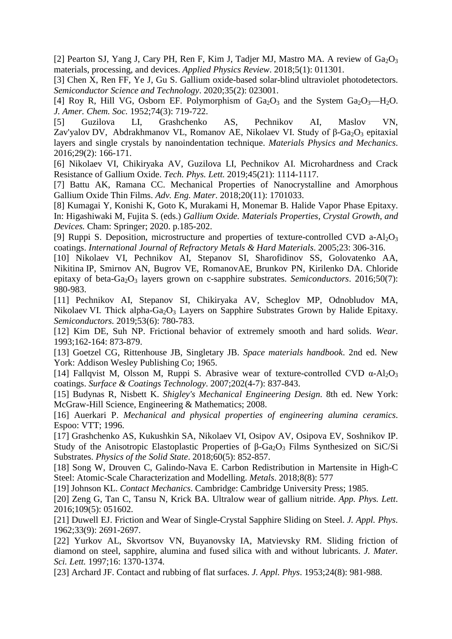Wear resistance of α- AND β- gallium oxide coatings 57

[2] Pearton SJ, Yang J, Cary PH, Ren F, Kim J, Tadjer MJ, Mastro MA. A review of  $Ga<sub>2</sub>O<sub>3</sub>$ materials, processing, and devices. *Applied Physics Review*. 2018;5(1): 011301.

[3] Chen X, Ren FF, Ye J, Gu S. Gallium oxide-based solar-blind ultraviolet photodetectors. *Semiconductor Science and Technology*. 2020;35(2): 023001.

[4] Roy R, Hill VG, Osborn EF. Polymorphism of  $Ga_2O_3$  and the System  $Ga_2O_3$ —H<sub>2</sub>O. *J. Amer. Chem. Soc.* 1952;74(3): 719-722.

[5] Guzilova LI, Grashchenko AS, Pechnikov AI, Maslov VN, Zav'yalov DV, Abdrakhmanov VL, Romanov AE, Nikolaev VI. Study of  $\beta$ -Ga<sub>2</sub>O<sub>3</sub> epitaxial [layers and single crystals by nanoindentation technique.](https://mpm.spbstu.ru/en/article/2016.51.9/) *Materials Physics and Mechanics*. 2016;29(2): 166-171.

[6] Nikolaev VI, Chikiryaka AV, Guzilova LI, Pechnikov AI. Microhardness and Crack Resistance of Gallium Oxide. *Tech. Phys. Lett.* 2019;45(21): 1114-1117.

[7] Battu AK, Ramana CC. Mechanical Properties of Nanocrystalline and Amorphous Gallium Oxide Thin Films. *Adv. Eng. Mater*. 2018;20(11): 1701033.

[8] Kumagai Y, Konishi K, Goto K, Murakami H, Monemar B. Halide Vapor Phase Epitaxy. In: Higashiwaki M, Fujita S. (eds.) *Gallium Oxide. Materials Properties, Crystal Growth, and Devices.* Cham: Springer; 2020. p.185-202.

[9] Ruppi S. Deposition, microstructure and properties of texture-controlled CVD a-Al<sub>2</sub>O<sub>3</sub> coatings. *International Journal of Refractory Metals & Hard Materials*. 2005;23: 306-316.

[10] Nikolaev VI, Pechnikov AI, Stepanov SI, Sharofidinov SS, Golovatenko AA, Nikitina IP, Smirnov AN, Bugrov VE, RomanovAE, Brunkov PN, Kirilenko DA. Chloride epitaxy of beta-Ga<sub>2</sub>O<sub>3</sub> layers grown on c-sapphire substrates. *Semiconductors*. 2016;50(7): 980-983.

[11] Pechnikov AI, Stepanov SI, Chikiryaka AV, Scheglov MP, Odnobludov MA, Nikolaev VI. Thick alpha-Ga<sub>2</sub>O<sub>3</sub> Layers on Sapphire Substrates Grown by Halide Epitaxy. *Semiconductors.* 2019;53(6): 780-783.

[12] Kim DE, Suh NP. Frictional behavior of extremely smooth and hard solids. *Wear*. 1993;162-164: 873-879.

[13] Goetzel CG, Rittenhouse JB, Singletary JB. *Space materials handbook*. 2nd ed. New York: Addison Wesley Publishing Co; 1965.

[14] Fallqvist M, Olsson M, Ruppi S. Abrasive wear of texture-controlled CVD  $\alpha$ -Al<sub>2</sub>O<sub>3</sub> coatings. *Surface & Coatings Technology*. 2007;202(4-7): 837-843.

[15] Budynas R, Nisbett K. *Shigley's Mechanical Engineering Design*. 8th ed. New York: McGraw-Hill Science, Engineering & Mathematics; 2008.

[16] Auerkari P. *Mechanical and physical properties of engineering alumina ceramics*. Espoo: VTT; 1996.

[17] Grashchenko AS, Kukushkin SA, Nikolaev VI, Osipov AV, Osipova EV, Soshnikov IP. Study of the Anisotropic Elastoplastic Properties of  $\beta$ -Ga<sub>2</sub>O<sub>3</sub> Films Synthesized on SiC/Si Substrates. *Physics of the Solid State*. 2018;60(5): 852-857.

[18] Song W, Drouven C, Galindo-Nava E. Carbon Redistribution in Martensite in High-C Steel: Atomic-Scale Characterization and Modelling. *Metals*. 2018;8(8): 577

[19] Johnson KL. *Contact Mechanics*. Cambridge: Cambridge University Press; 1985.

[20] Zeng G, Tan C, Tansu N, Krick BA. Ultralow wear of gallium nitride. *App. Phys. Lett*. 2016;109(5): 051602.

[21] Duwell EJ. Friction and Wear of Single-Crystal Sapphire Sliding on Steel. *J. Appl. Phys*. 1962;33(9): 2691-2697.

[22] Yurkov AL, Skvortsov VN, Buyanovsky IA, Matvievsky RM. Sliding friction of diamond on steel, sapphire, alumina and fused silica with and without lubricants. *J. Mater. Sci. Lett.* 1997;16: 1370-1374.

[23] Archard JF. Contact and rubbing of flat surfaces. *J. Appl. Phys*. 1953;24(8): 981-988.